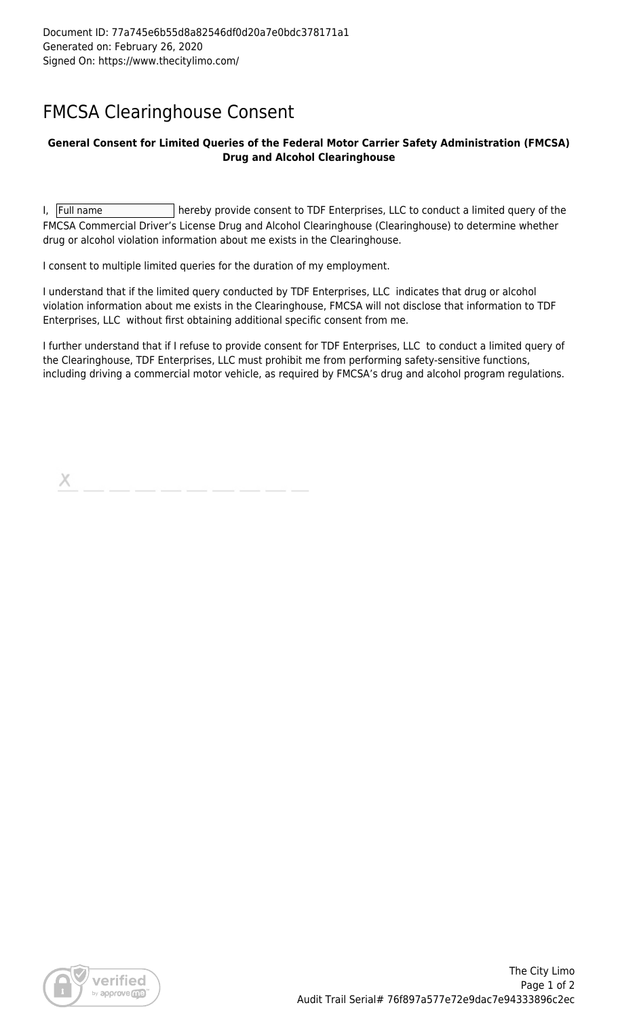## FMCSA Clearinghouse Consent

### **General Consent for Limited Queries of the Federal Motor Carrier Safety Administration (FMCSA) Drug and Alcohol Clearinghouse**

I,  $|F$ ull name  $|$  hereby provide consent to TDF Enterprises, LLC to conduct a limited query of the FMCSA Commercial Driver's License Drug and Alcohol Clearinghouse (Clearinghouse) to determine whether drug or alcohol violation information about me exists in the Clearinghouse.

I consent to multiple limited queries for the duration of my employment.

I understand that if the limited query conducted by TDF Enterprises, LLC indicates that drug or alcohol violation information about me exists in the Clearinghouse, FMCSA will not disclose that information to TDF Enterprises, LLC without first obtaining additional specific consent from me.

I further understand that if I refuse to provide consent for TDF Enterprises, LLC to conduct a limited query of the Clearinghouse, TDF Enterprises, LLC must prohibit me from performing safety-sensitive functions, including driving a commercial motor vehicle, as required by FMCSA's drug and alcohol program regulations.

Х